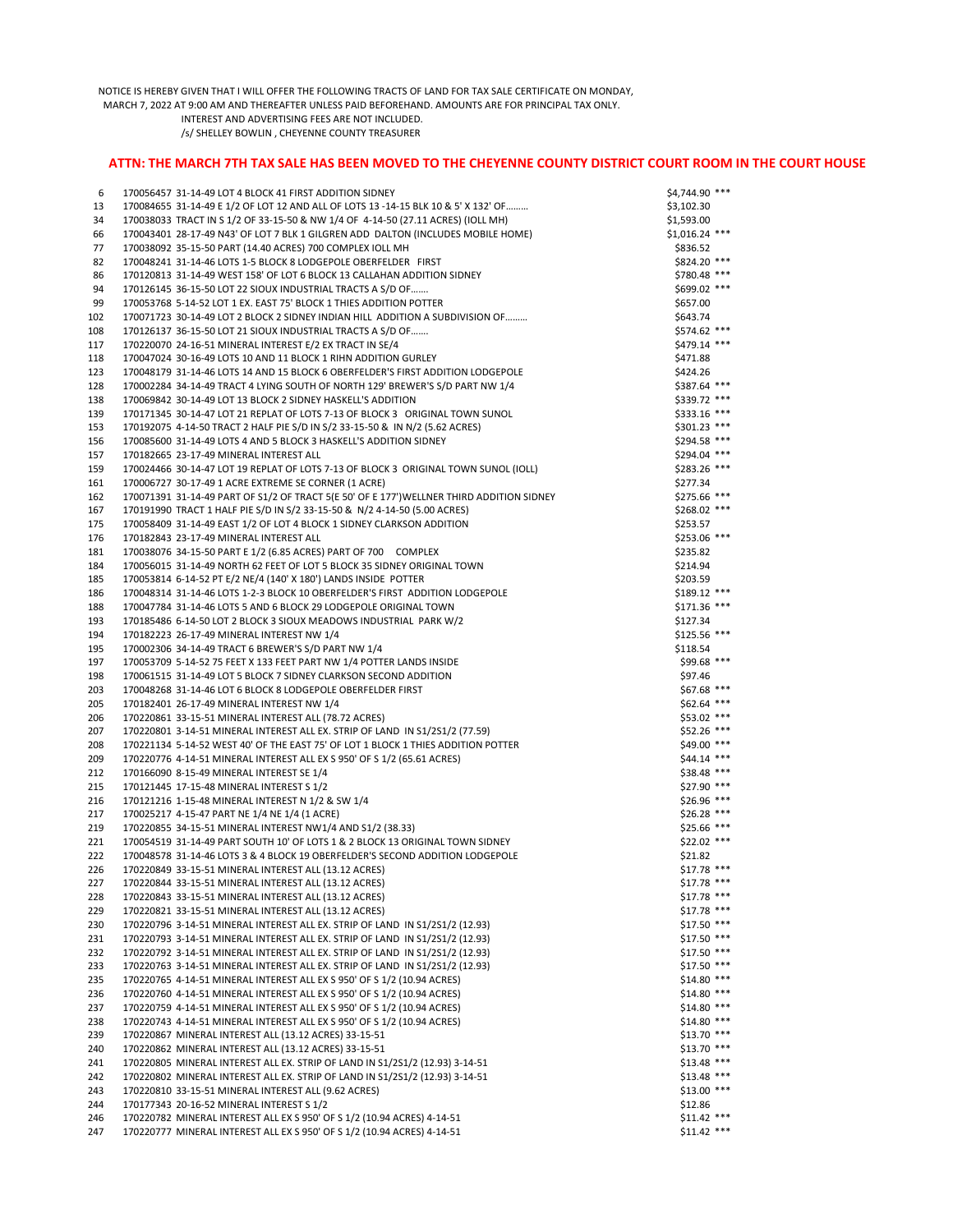NOTICE IS HEREBY GIVEN THAT I WILL OFFER THE FOLLOWING TRACTS OF LAND FOR TAX SALE CERTIFICATE ON MONDAY,

MARCH 7, 2022 AT 9:00 AM AND THEREAFTER UNLESS PAID BEFOREHAND. AMOUNTS ARE FOR PRINCIPAL TAX ONLY.

 INTEREST AND ADVERTISING FEES ARE NOT INCLUDED. /s/ SHELLEY BOWLIN , CHEYENNE COUNTY TREASURER

## **ATTN: THE MARCH 7TH TAX SALE HAS BEEN MOVED TO THE CHEYENNE COUNTY DISTRICT COURT ROOM IN THE COURT HOUSE**

| 6          | 170056457 31-14-49 LOT 4 BLOCK 41 FIRST ADDITION SIDNEY                                  | \$4,744.90 ***  |
|------------|------------------------------------------------------------------------------------------|-----------------|
| 13         | 170084655 31-14-49 E 1/2 OF LOT 12 AND ALL OF LOTS 13 -14-15 BLK 10 & 5' X 132' OF       | \$3,102.30      |
| 34         | 170038033 TRACT IN S 1/2 OF 33-15-50 & NW 1/4 OF 4-14-50 (27.11 ACRES) (IOLL MH)         | \$1,593.00      |
| 66         | 170043401 28-17-49 N43' OF LOT 7 BLK 1 GILGREN ADD DALTON (INCLUDES MOBILE HOME)         | $$1,016.24$ *** |
| 77         | 170038092 35-15-50 PART (14.40 ACRES) 700 COMPLEX IOLL MH                                | \$836.52        |
|            | 170048241 31-14-46 LOTS 1-5 BLOCK 8 LODGEPOLE OBERFELDER FIRST                           | \$824.20 ***    |
| 82         |                                                                                          |                 |
| 86         | 170120813 31-14-49 WEST 158' OF LOT 6 BLOCK 13 CALLAHAN ADDITION SIDNEY                  | \$780.48 ***    |
| 94         | 170126145 36-15-50 LOT 22 SIOUX INDUSTRIAL TRACTS A S/D OF                               | \$699.02 ***    |
| 99         | 170053768 5-14-52 LOT 1 EX. EAST 75' BLOCK 1 THIES ADDITION POTTER                       | \$657.00        |
| 102        | 170071723 30-14-49 LOT 2 BLOCK 2 SIDNEY INDIAN HILL ADDITION A SUBDIVISION OF            | \$643.74        |
| 108        | 170126137 36-15-50 LOT 21 SIOUX INDUSTRIAL TRACTS A S/D OF                               | \$574.62 ***    |
| 117        | 170220070 24-16-51 MINERAL INTEREST E/2 EX TRACT IN SE/4                                 | \$479.14 ***    |
| 118        | 170047024 30-16-49 LOTS 10 AND 11 BLOCK 1 RIHN ADDITION GURLEY                           | \$471.88        |
| 123        | 170048179 31-14-46 LOTS 14 AND 15 BLOCK 6 OBERFELDER'S FIRST ADDITION LODGEPOLE          | \$424.26        |
| 128        | 170002284 34-14-49 TRACT 4 LYING SOUTH OF NORTH 129' BREWER'S S/D PART NW 1/4            | \$387.64 ***    |
| 138        | 170069842 30-14-49 LOT 13 BLOCK 2 SIDNEY HASKELL'S ADDITION                              | \$339.72 ***    |
| 139        | 170171345 30-14-47 LOT 21 REPLAT OF LOTS 7-13 OF BLOCK 3 ORIGINAL TOWN SUNOL             | \$333.16 ***    |
| 153        | 170192075 4-14-50 TRACT 2 HALF PIE S/D IN S/2 33-15-50 & IN N/2 (5.62 ACRES)             | \$301.23 ***    |
| 156        | 170085600 31-14-49 LOTS 4 AND 5 BLOCK 3 HASKELL'S ADDITION SIDNEY                        | \$294.58 ***    |
| 157        | 170182665 23-17-49 MINERAL INTEREST ALL                                                  | \$294.04 ***    |
| 159        | 170024466 30-14-47 LOT 19 REPLAT OF LOTS 7-13 OF BLOCK 3 ORIGINAL TOWN SUNOL (IOLL)      | \$283.26 ***    |
| 161        | 170006727 30-17-49 1 ACRE EXTREME SE CORNER (1 ACRE)                                     | \$277.34        |
| 162        | 170071391 31-14-49 PART OF S1/2 OF TRACT 5(E 50' OF E 177')WELLNER THIRD ADDITION SIDNEY | $$275.66$ ***   |
| 167        | 170191990 TRACT 1 HALF PIE S/D IN S/2 33-15-50 & N/2 4-14-50 (5.00 ACRES)                | $$268.02$ ***   |
| 175        | 170058409 31-14-49 EAST 1/2 OF LOT 4 BLOCK 1 SIDNEY CLARKSON ADDITION                    | \$253.57        |
| 176        | 170182843 23-17-49 MINERAL INTEREST ALL                                                  | \$253.06 ***    |
| 181        | 170038076 34-15-50 PART E 1/2 (6.85 ACRES) PART OF 700 COMPLEX                           | \$235.82        |
| 184        | 170056015 31-14-49 NORTH 62 FEET OF LOT 5 BLOCK 35 SIDNEY ORIGINAL TOWN                  | \$214.94        |
| 185        | 170053814 6-14-52 PT E/2 NE/4 (140' X 180') LANDS INSIDE POTTER                          | \$203.59        |
| 186        | 170048314 31-14-46 LOTS 1-2-3 BLOCK 10 OBERFELDER'S FIRST ADDITION LODGEPOLE             | $$189.12$ ***   |
| 188        | 170047784 31-14-46 LOTS 5 AND 6 BLOCK 29 LODGEPOLE ORIGINAL TOWN                         | $$171.36$ ***   |
| 193        | 170185486 6-14-50 LOT 2 BLOCK 3 SIOUX MEADOWS INDUSTRIAL PARK W/2                        | \$127.34        |
| 194        | 170182223 26-17-49 MINERAL INTEREST NW 1/4                                               | $$125.56$ ***   |
| 195        |                                                                                          |                 |
|            | 170002306 34-14-49 TRACT 6 BREWER'S S/D PART NW 1/4                                      | \$118.54        |
| 197        | 170053709 5-14-52 75 FEET X 133 FEET PART NW 1/4 POTTER LANDS INSIDE                     | \$99.68 ***     |
| 198        | 170061515 31-14-49 LOT 5 BLOCK 7 SIDNEY CLARKSON SECOND ADDITION                         | \$97.46         |
| 203        | 170048268 31-14-46 LOT 6 BLOCK 8 LODGEPOLE OBERFELDER FIRST                              | \$67.68 ***     |
| 205        | 170182401 26-17-49 MINERAL INTEREST NW 1/4                                               | \$62.64 ***     |
| 206        | 170220861 33-15-51 MINERAL INTEREST ALL (78.72 ACRES)                                    | $$53.02$ ***    |
| 207        | 170220801 3-14-51 MINERAL INTEREST ALL EX. STRIP OF LAND IN S1/2S1/2 (77.59)             | \$52.26 ***     |
| 208        | 170221134 5-14-52 WEST 40' OF THE EAST 75' OF LOT 1 BLOCK 1 THIES ADDITION POTTER        | $$49.00$ ***    |
| 209        | 170220776 4-14-51 MINERAL INTEREST ALL EX S 950' OF S 1/2 (65.61 ACRES)                  | \$44.14 ***     |
| 212        | 170166090 8-15-49 MINERAL INTEREST SE 1/4                                                | \$38.48 ***     |
| 215        | 170121445 17-15-48 MINERAL INTEREST S 1/2                                                | $$27.90$ ***    |
| 216        | 170121216 1-15-48 MINERAL INTEREST N 1/2 & SW 1/4                                        | $$26.96$ ***    |
| 217        | 170025217 4-15-47 PART NE 1/4 NE 1/4 (1 ACRE)                                            | \$26.28 ***     |
| 219        | 170220855 34-15-51 MINERAL INTEREST NW1/4 AND S1/2 (38.33)                               | $$25.66$ ***    |
| 221        | 170054519 31-14-49 PART SOUTH 10' OF LOTS 1 & 2 BLOCK 13 ORIGINAL TOWN SIDNEY            | $$22.02$ ***    |
| 222        | 170048578 31-14-46 LOTS 3 & 4 BLOCK 19 OBERFELDER'S SECOND ADDITION LODGEPOLE            | \$21.82         |
| 226        | 170220849 33-15-51 MINERAL INTEREST ALL (13.12 ACRES)                                    | $$17.78$ ***    |
| 227        | 170220844 33-15-51 MINERAL INTEREST ALL (13.12 ACRES)                                    | $$17.78$ ***    |
| 228        | 170220843 33-15-51 MINERAL INTEREST ALL (13.12 ACRES)                                    | \$17.78 ***     |
| 229        | 170220821 33-15-51 MINERAL INTEREST ALL (13.12 ACRES)                                    | $$17.78$ ***    |
| 230        | 170220796 3-14-51 MINERAL INTEREST ALL EX. STRIP OF LAND IN S1/2S1/2 (12.93)             | \$17.50 ***     |
| 231        | 170220793 3-14-51 MINERAL INTEREST ALL EX. STRIP OF LAND IN S1/2S1/2 (12.93)             | $$17.50$ ***    |
| 232        | 170220792 3-14-51 MINERAL INTEREST ALL EX. STRIP OF LAND IN S1/2S1/2 (12.93)             | $$17.50$ ***    |
| 233        | 170220763 3-14-51 MINERAL INTEREST ALL EX. STRIP OF LAND IN S1/2S1/2 (12.93)             | $$17.50$ ***    |
| 235        | 170220765 4-14-51 MINERAL INTEREST ALL EX S 950' OF S 1/2 (10.94 ACRES)                  | $$14.80$ ***    |
| 236        | 170220760 4-14-51 MINERAL INTEREST ALL EX S 950' OF S 1/2 (10.94 ACRES)                  | $$14.80$ ***    |
| 237        | 170220759 4-14-51 MINERAL INTEREST ALL EX S 950' OF S 1/2 (10.94 ACRES)                  | $$14.80$ ***    |
| 238        | 170220743 4-14-51 MINERAL INTEREST ALL EX S 950' OF S 1/2 (10.94 ACRES)                  | $$14.80$ ***    |
| 239        | 170220867 MINERAL INTEREST ALL (13.12 ACRES) 33-15-51                                    | $$13.70$ ***    |
| 240        | 170220862 MINERAL INTEREST ALL (13.12 ACRES) 33-15-51                                    | $$13.70$ ***    |
| 241        | 170220805 MINERAL INTEREST ALL EX. STRIP OF LAND IN S1/2S1/2 (12.93) 3-14-51             | $$13.48$ ***    |
| 242        | 170220802 MINERAL INTEREST ALL EX. STRIP OF LAND IN S1/2S1/2 (12.93) 3-14-51             | \$13.48 ***     |
| 243        | 170220810 33-15-51 MINERAL INTEREST ALL (9.62 ACRES)                                     | \$13.00 ***     |
|            | 170177343 20-16-52 MINERAL INTEREST S 1/2                                                | \$12.86         |
| 244<br>246 | 170220782 MINERAL INTEREST ALL EX S 950' OF S 1/2 (10.94 ACRES) 4-14-51                  | $$11.42$ ***    |
| 247        | 170220777 MINERAL INTEREST ALL EX S 950' OF S 1/2 (10.94 ACRES) 4-14-51                  | $$11.42$ ***    |
|            |                                                                                          |                 |